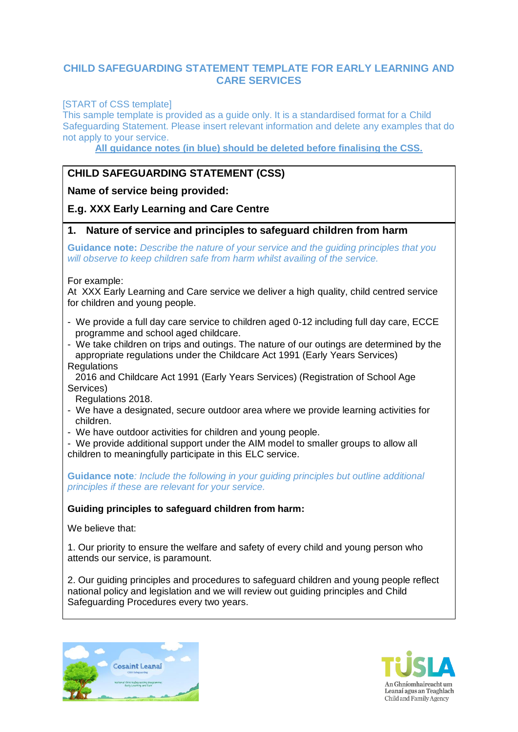## **CHILD SAFEGUARDING STATEMENT TEMPLATE FOR EARLY LEARNING AND CARE SERVICES**

[START of CSS template]

This sample template is provided as a guide only. It is a standardised format for a Child Safeguarding Statement. Please insert relevant information and delete any examples that do not apply to your service.

**All guidance notes (in blue) should be deleted before finalising the CSS.**

# **CHILD SAFEGUARDING STATEMENT (CSS)**

**Name of service being provided:** 

# **E.g. XXX Early Learning and Care Centre**

#### **1. Nature of service and principles to safeguard children from harm**

**Guidance note:** *Describe the nature of your service and the guiding principles that you will observe to keep children safe from harm whilst availing of the service.*

For example:

At XXX Early Learning and Care service we deliver a high quality, child centred service for children and young people.

- We provide a full day care service to children aged 0-12 including full day care, ECCE programme and school aged childcare.
- We take children on trips and outings. The nature of our outings are determined by the appropriate regulations under the Childcare Act 1991 (Early Years Services) **Requlations**

 2016 and Childcare Act 1991 (Early Years Services) (Registration of School Age Services)

Regulations 2018.

- We have a designated, secure outdoor area where we provide learning activities for children.
- We have outdoor activities for children and young people.

- We provide additional support under the AIM model to smaller groups to allow all children to meaningfully participate in this ELC service.

**Guidance note***: Include the following in your guiding principles but outline additional principles if these are relevant for your service.*

## **Guiding principles to safeguard children from harm:**

We believe that:

1. Our priority to ensure the welfare and safety of every child and young person who attends our service, is paramount.

2. Our guiding principles and procedures to safeguard children and young people reflect national policy and legislation and we will review out guiding principles and Child Safeguarding Procedures every two years.



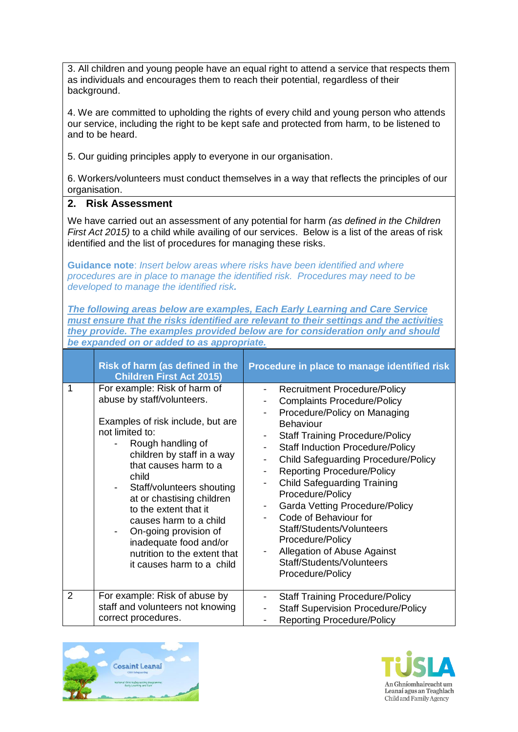3. All children and young people have an equal right to attend a service that respects them as individuals and encourages them to reach their potential, regardless of their background. 4. We are committed to upholding the rights of every child and young person who attends our service, including the right to be kept safe and protected from harm, to be listened to and to be heard. 5. Our guiding principles apply to everyone in our organisation. 6. Workers/volunteers must conduct themselves in a way that reflects the principles of our organisation. **2. Risk Assessment** We have carried out an assessment of any potential for harm *(as defined in the Children First Act 2015)* to a child while availing of our services. Below is a list of the areas of risk identified and the list of procedures for managing these risks. **Guidance note**: *Insert below areas where risks have been identified and where procedures are in place to manage the identified risk. Procedures may need to be developed to manage the identified risk. The following areas below are examples, Each Early Learning and Care Service must ensure that the risks identified are relevant to their settings and the activities they provide. The examples provided below are for consideration only and should be expanded on or added to as appropriate.* **Risk of harm (as defined in the Children First Act 2015) Procedure in place to manage identified risk** 1 For example: Risk of harm of abuse by staff/volunteers. Examples of risk include, but are not limited to: Rough handling of children by staff in a way that causes harm to a child Staff/volunteers shouting at or chastising children to the extent that it causes harm to a child - On-going provision of inadequate food and/or nutrition to the extent that it causes harm to a child Recruitment Procedure/Policy Complaints Procedure/Policy Procedure/Policy on Managing Behaviour **Staff Training Procedure/Policy** Staff Induction Procedure/Policy - Child Safeguarding Procedure/Policy Reporting Procedure/Policy - Child Safeguarding Training Procedure/Policy - Garda Vetting Procedure/Policy - Code of Behaviour for Staff/Students/Volunteers Procedure/Policy Allegation of Abuse Against Staff/Students/Volunteers Procedure/Policy 2 For example: Risk of abuse by staff and volunteers not knowing correct procedures. - Staff Training Procedure/Policy Staff Supervision Procedure/Policy - Reporting Procedure/Policy



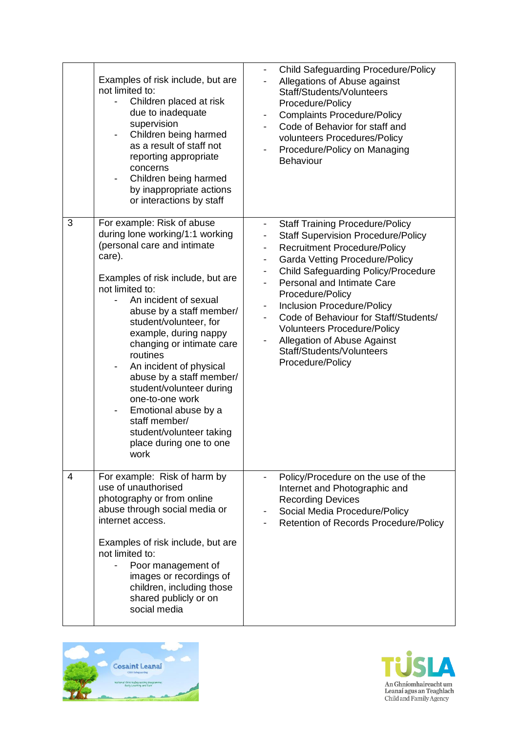|   | Examples of risk include, but are<br>not limited to:<br>Children placed at risk<br>due to inadequate<br>supervision<br>Children being harmed<br>as a result of staff not<br>reporting appropriate<br>concerns<br>Children being harmed<br>by inappropriate actions<br>or interactions by staff                                                                                                                                                                                                                                     | <b>Child Safeguarding Procedure/Policy</b><br>$\overline{\phantom{a}}$<br>Allegations of Abuse against<br>Staff/Students/Volunteers<br>Procedure/Policy<br><b>Complaints Procedure/Policy</b><br>-<br>Code of Behavior for staff and<br>volunteers Procedures/Policy<br>Procedure/Policy on Managing<br><b>Behaviour</b>                                                                                                                                                                                                                                         |
|---|------------------------------------------------------------------------------------------------------------------------------------------------------------------------------------------------------------------------------------------------------------------------------------------------------------------------------------------------------------------------------------------------------------------------------------------------------------------------------------------------------------------------------------|------------------------------------------------------------------------------------------------------------------------------------------------------------------------------------------------------------------------------------------------------------------------------------------------------------------------------------------------------------------------------------------------------------------------------------------------------------------------------------------------------------------------------------------------------------------|
| 3 | For example: Risk of abuse<br>during lone working/1:1 working<br>(personal care and intimate<br>care).<br>Examples of risk include, but are<br>not limited to:<br>An incident of sexual<br>abuse by a staff member/<br>student/volunteer, for<br>example, during nappy<br>changing or intimate care<br>routines<br>An incident of physical<br>-<br>abuse by a staff member/<br>student/volunteer during<br>one-to-one work<br>Emotional abuse by a<br>staff member/<br>student/volunteer taking<br>place during one to one<br>work | <b>Staff Training Procedure/Policy</b><br>$\overline{a}$<br><b>Staff Supervision Procedure/Policy</b><br>-<br><b>Recruitment Procedure/Policy</b><br>-<br><b>Garda Vetting Procedure/Policy</b><br>$\overline{\phantom{a}}$<br><b>Child Safeguarding Policy/Procedure</b><br>-<br>Personal and Intimate Care<br>Procedure/Policy<br><b>Inclusion Procedure/Policy</b><br>Code of Behaviour for Staff/Students/<br><b>Volunteers Procedure/Policy</b><br>Allegation of Abuse Against<br>$\overline{\phantom{0}}$<br>Staff/Students/Volunteers<br>Procedure/Policy |
| 4 | For example: Risk of harm by<br>use of unauthorised<br>photography or from online<br>abuse through social media or<br>internet access.<br>Examples of risk include, but are<br>not limited to:<br>Poor management of<br>images or recordings of<br>children, including those<br>shared publicly or on<br>social media                                                                                                                                                                                                              | Policy/Procedure on the use of the<br>Internet and Photographic and<br><b>Recording Devices</b><br>Social Media Procedure/Policy<br>Retention of Records Procedure/Policy<br>$\overline{\phantom{a}}$                                                                                                                                                                                                                                                                                                                                                            |



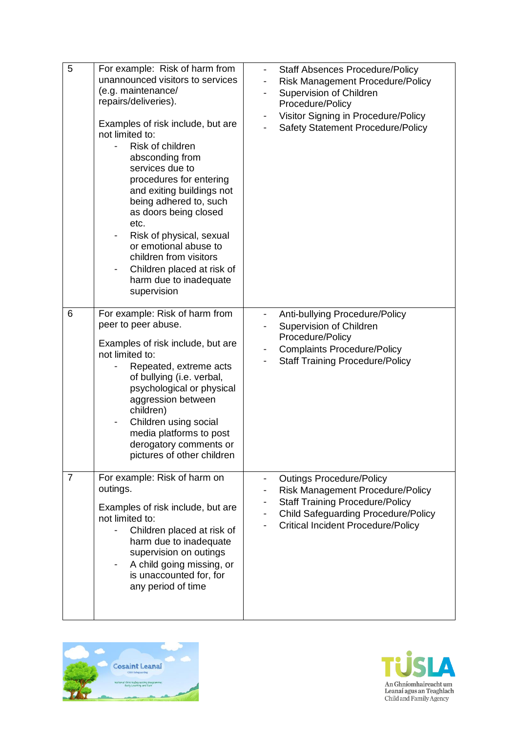| 5              | For example: Risk of harm from<br>unannounced visitors to services<br>(e.g. maintenance/<br>repairs/deliveries).<br>Examples of risk include, but are<br>not limited to:<br>Risk of children<br>absconding from<br>services due to<br>procedures for entering<br>and exiting buildings not<br>being adhered to, such<br>as doors being closed<br>etc.<br>Risk of physical, sexual<br>or emotional abuse to<br>children from visitors<br>Children placed at risk of<br>harm due to inadequate<br>supervision | <b>Staff Absences Procedure/Policy</b><br>$\overline{\phantom{a}}$<br><b>Risk Management Procedure/Policy</b><br>Supervision of Children<br>$\qquad \qquad \blacksquare$<br>Procedure/Policy<br>Visitor Signing in Procedure/Policy<br>Safety Statement Procedure/Policy |  |
|----------------|-------------------------------------------------------------------------------------------------------------------------------------------------------------------------------------------------------------------------------------------------------------------------------------------------------------------------------------------------------------------------------------------------------------------------------------------------------------------------------------------------------------|--------------------------------------------------------------------------------------------------------------------------------------------------------------------------------------------------------------------------------------------------------------------------|--|
| 6              | For example: Risk of harm from<br>peer to peer abuse.<br>Examples of risk include, but are<br>not limited to:<br>Repeated, extreme acts<br>of bullying (i.e. verbal,<br>psychological or physical<br>aggression between<br>children)<br>Children using social<br>$\overline{\phantom{0}}$<br>media platforms to post<br>derogatory comments or<br>pictures of other children                                                                                                                                | Anti-bullying Procedure/Policy<br>$\qquad \qquad \blacksquare$<br>Supervision of Children<br>Procedure/Policy<br><b>Complaints Procedure/Policy</b><br>۰<br><b>Staff Training Procedure/Policy</b>                                                                       |  |
| $\overline{7}$ | For example: Risk of harm on<br>outings.<br>Examples of risk include, but are<br>not limited to:<br>Children placed at risk of<br>harm due to inadequate<br>supervision on outings<br>A child going missing, or<br>is unaccounted for, for<br>any period of time                                                                                                                                                                                                                                            | <b>Outings Procedure/Policy</b><br><b>Risk Management Procedure/Policy</b><br><b>Staff Training Procedure/Policy</b><br><b>Child Safeguarding Procedure/Policy</b><br><b>Critical Incident Procedure/Policy</b>                                                          |  |



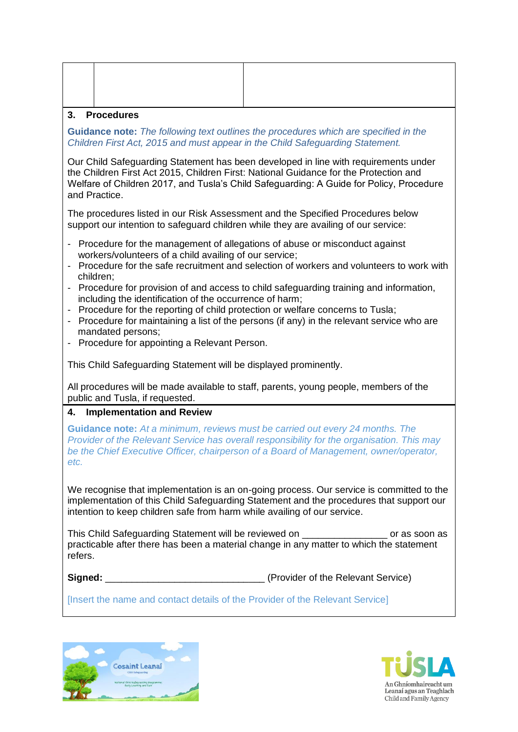#### **3. Procedures**

**Guidance note:** *The following text outlines the procedures which are specified in the Children First Act, 2015 and must appear in the Child Safeguarding Statement.* 

Our Child Safeguarding Statement has been developed in line with requirements under the Children First Act 2015, Children First: National Guidance for the Protection and Welfare of Children 2017, and Tusla's Child Safeguarding: A Guide for Policy, Procedure and Practice.

The procedures listed in our Risk Assessment and the Specified Procedures below support our intention to safeguard children while they are availing of our service:

- Procedure for the management of allegations of abuse or misconduct against workers/volunteers of a child availing of our service;
- Procedure for the safe recruitment and selection of workers and volunteers to work with children;
- Procedure for provision of and access to child safeguarding training and information, including the identification of the occurrence of harm;
- Procedure for the reporting of child protection or welfare concerns to Tusla;
- Procedure for maintaining a list of the persons (if any) in the relevant service who are mandated persons;
- Procedure for appointing a Relevant Person.

This Child Safeguarding Statement will be displayed prominently.

All procedures will be made available to staff, parents, young people, members of the public and Tusla, if requested.

## **4. Implementation and Review**

**Guidance note:** *At a minimum, reviews must be carried out every 24 months. The Provider of the Relevant Service has overall responsibility for the organisation. This may be the Chief Executive Officer, chairperson of a Board of Management, owner/operator, etc.*

We recognise that implementation is an on-going process. Our service is committed to the implementation of this Child Safeguarding Statement and the procedures that support our intention to keep children safe from harm while availing of our service.

This Child Safeguarding Statement will be reviewed on \_\_\_\_\_\_\_\_\_\_\_\_\_\_\_\_ or as soon as practicable after there has been a material change in any matter to which the statement refers.

**Signed: Signed: Signed: Signed: Signed: Service CO** 

[Insert the name and contact details of the Provider of the Relevant Service]